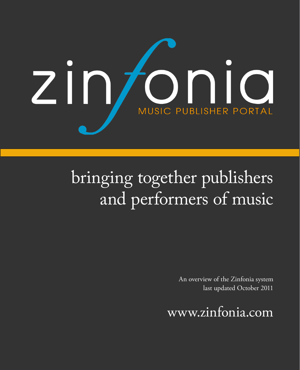

# bringing together publishers and performers of music

An overview of the Zinfonia system last updated October 2011

[www.zinfonia.com](http://www.zinfonia.com)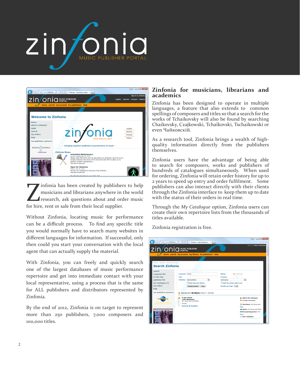# $\overline{Z}$



infonia has been created by publishers to help musicians and librarians anywhere in the world research, ask questions about and order music for hire, rent or sale from their local supplier.

Without Zinfonia, locating music for performance can be a difficult process. To find any specific title you would normally have to search many websites in different languages for information. If successful, only then could you start your conversation with the local agent that can actually supply the material.

With Zinfonia, you can freely and quickly search one of the largest databases of music performance repertoire and get into immediate contact with your local representative, using a process that is the same for ALL publishers and distributors represented by Zinfonia.

By the end of 2012, Zinfonia is on target to represent more than 250 publishers, 7,000 composers and 100,000 titles.

### **Zinfonia for musicians, librarians and academics**

Zinfonia has been designed to operate in multiple languages, a feature that also extends to common spellings of composers and titles so that a search for the works of Tchaikovsky will also be found by searching Chaikovsky, Czajkowski, Tchaïkovski, Tschaikowski or even Чайковскій.

As a research tool, Zinfonia brings a wealth of highquality information directly from the publishers themselves.

Zinfonia users have the advantage of being able to search for composers, works and publishers of hundreds of catalogues simultaneously. When used for ordering, Zinfonia will retain order history for up to 2 years to speed up entry and order fulfilment. Some publishers can also interact directly with their clients through the Zinfonia interface to keep them up to date with the status of their orders in real time.

Through the *My Catalogue* option, Zinfonia users can create their own repertoire lists from the thousands of titles available.

Zinfonia registration is free.

|                                                                                                    |                                       |                                                       |                          |                     | $\begin{array}{c c c c c} \hline \multicolumn{3}{c }{\mathbf{0}} & \multicolumn{3}{c }{\mathbf{X}} \end{array}$<br>$\Rightarrow$ |     |
|----------------------------------------------------------------------------------------------------|---------------------------------------|-------------------------------------------------------|--------------------------|---------------------|----------------------------------------------------------------------------------------------------------------------------------|-----|
| http://www.zinfonia.c $\mathcal{Q} \times \mathbb{R} \times \mathbb{R}$ Zinfonia - Search Zinfonia |                                       |                                                       | $\times$                 |                     |                                                                                                                                  | 角女母 |
| ZIN/ONIC MUSIC PUBLISHER                                                                           |                                       | home search my account my library for publishers help |                          |                     | Sign out Peter Grimshaw                                                                                                          |     |
|                                                                                                    |                                       |                                                       |                          |                     |                                                                                                                                  |     |
| home - search - previous page                                                                      |                                       |                                                       |                          |                     |                                                                                                                                  |     |
| <b>Search Zinfonia</b>                                                                             |                                       |                                                       |                          |                     |                                                                                                                                  |     |
| search                                                                                             |                                       |                                                       |                          |                     |                                                                                                                                  |     |
| composer list                                                                                      | Composer britten                      |                                                       |                          | Rating              | <b>Q</b> 会会会会会                                                                                                                   |     |
| on this day                                                                                        | Title                                 |                                                       |                          | Duration            |                                                                                                                                  |     |
| publisher list                                                                                     | <b>Publisher</b>                      | select publisher.                                     | $\overline{\phantom{a}}$ | select genre        | $\overline{\phantom{a}}$                                                                                                         |     |
| my catalogue (7)                                                                                   |                                       | Only Show My Works                                    |                          |                     | <b>Hide My Library Edit Icons</b>                                                                                                |     |
| my orders                                                                                          |                                       | <b>Display Results</b><br>Clear                       |                          | Results per Page 20 |                                                                                                                                  |     |
| help                                                                                               |                                       |                                                       |                          |                     |                                                                                                                                  |     |
| our publisher partners                                                                             |                                       | Benjamin Britten(1913-1976)                           |                          |                     |                                                                                                                                  |     |
| UNIVERSAL MUSIC                                                                                    | A une raison<br><b>Colin Matthews</b> | for voice and orchestra                               |                          |                     | + Add to My Catalogue<br><b>Private Comment</b>                                                                                  |     |
| <b>PUBLISHING CLASSICAL</b>                                                                        | 食事 大学 大学<br>strings                   | <b>Boosey &amp; Hawkes</b>                            |                          |                     | Hire/Rent: Full Score and                                                                                                        |     |
|                                                                                                    |                                       |                                                       |                          |                     | <b>Parts</b>                                                                                                                     |     |
|                                                                                                    |                                       |                                                       |                          |                     | 66 Quote: Full Score and Parts<br>are Perusal/Inspection: Full                                                                   |     |
|                                                                                                    |                                       |                                                       |                          |                     | Score                                                                                                                            |     |
|                                                                                                    |                                       |                                                       |                          |                     | <b>2 Ask a Question</b>                                                                                                          |     |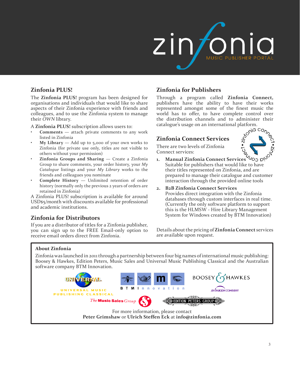

### **Zinfonia PLUS!**

The **Zinfonia PLUS!** program has been designed for organisations and individuals that would like to share aspects of their Zinfonia experience with friends and colleagues, and to use the Zinfonia system to manage their *OWN* library.

A **Zinfonia PLUS!** subscription allows users to:

- **Comments** attach private comments to any work listed in Zinfonia
- **• My Library** Add up to 5,000 of your own works to Zinfonia (for private use only, titles are not visible to others without your permission)
- **• Zinfonia Groups and Sharing** Create a Zinfonia Group to share comments, your order history, your *My Catalogue* listings and your *My Library* works to the friends and colleagues you nominate
- **• Complete History** Unlimited retention of order history (normally only the previous 2 years of orders are retained in Zinfonia)

A Zinfonia PLUS! subscription is available for around USD\$5/month with discounts available for professional and academic institutions.

## **Zinfonia for Distributors**

If you are a distributor of titles for a Zinfonia publisher, you can sign up to the FREE Email-only option to receive email orders direct from Zinfonia.

## **Zinfonia for Publishers**

Through a program called **Zinfonia Connect,**  publishers have the ability to have their works represented amongst some of the finest music the world has to offer, to have complete control over the distribution channels and to administer their catalogue's usage on an international platform.<br>مخمج

# **Zinfonia Connect Services**

There are two levels of Zinfonia Connect services:



- WOO DIV<sup>C</sup> **1. Manual Zinfonia Connect Services** Suitable for publishers that would like to have their titles represented on Zinfonia, and are prepared to manage their catalogue and customer interaction through the provided online tools
- **2. B2B Zinfonia Connect Services** Provides direct integration with the Zinfonia databases through custom interfaces in real time. (Currently the only software platform to support this is the HLMSW - Hire Library Management System for Windows created by BTM Innovation)

Details about the pricing of **Zinfonia Connect** services are available upon request.

### **About Zinfonia**

Zinfonia was launched in 2011 through a partnership between four big names of international music publishing: Boosey & Hawkes, Edition Peters, Music Sales and Universal Music Publishing Classical and the Australian software company BTM Innovation.